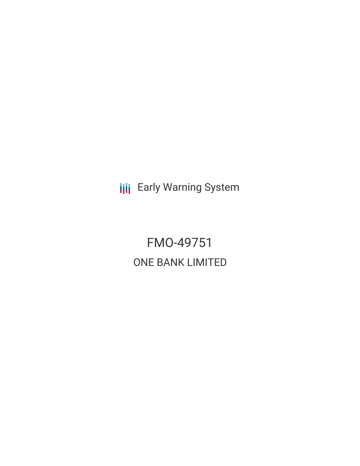**III** Early Warning System

FMO-49751 ONE BANK LIMITED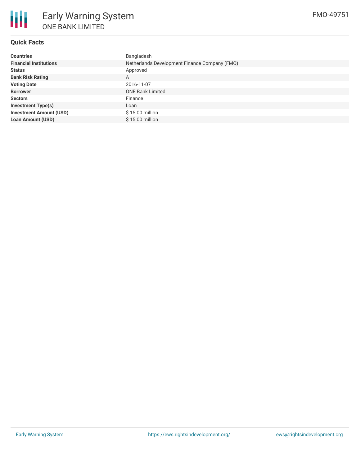

#### **Quick Facts**

| <b>Countries</b>               | Bangladesh                                    |  |  |  |
|--------------------------------|-----------------------------------------------|--|--|--|
| <b>Financial Institutions</b>  | Netherlands Development Finance Company (FMO) |  |  |  |
| <b>Status</b>                  | Approved                                      |  |  |  |
| <b>Bank Risk Rating</b>        | A                                             |  |  |  |
| <b>Voting Date</b>             | 2016-11-07                                    |  |  |  |
| <b>Borrower</b>                | <b>ONE Bank Limited</b>                       |  |  |  |
| <b>Sectors</b>                 | Finance                                       |  |  |  |
| <b>Investment Type(s)</b>      | Loan                                          |  |  |  |
| <b>Investment Amount (USD)</b> | $$15.00$ million                              |  |  |  |
| <b>Loan Amount (USD)</b>       | \$15.00 million                               |  |  |  |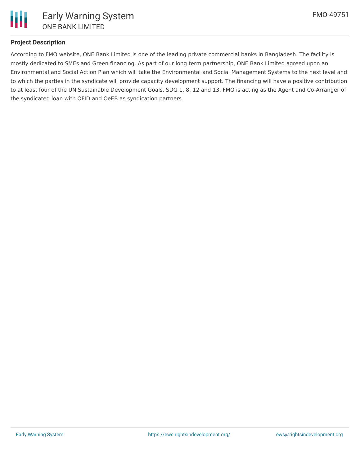

### **Project Description**

According to FMO website, ONE Bank Limited is one of the leading private commercial banks in Bangladesh. The facility is mostly dedicated to SMEs and Green financing. As part of our long term partnership, ONE Bank Limited agreed upon an Environmental and Social Action Plan which will take the Environmental and Social Management Systems to the next level and to which the parties in the syndicate will provide capacity development support. The financing will have a positive contribution to at least four of the UN Sustainable Development Goals. SDG 1, 8, 12 and 13. FMO is acting as the Agent and Co-Arranger of the syndicated loan with OFID and OeEB as syndication partners.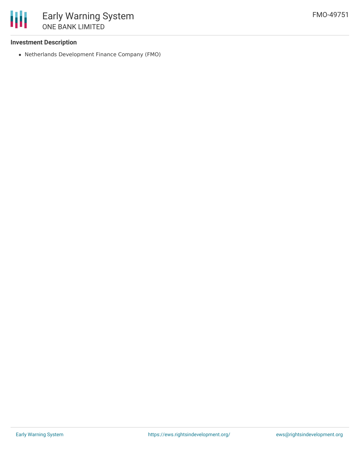

#### **Investment Description**

Netherlands Development Finance Company (FMO)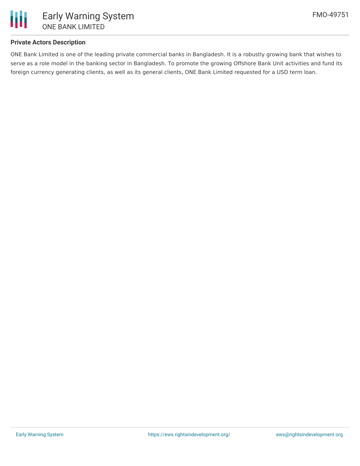

### **Private Actors Description**

ONE Bank Limited is one of the leading private commercial banks in Bangladesh. It is a robustly growing bank that wishes to serve as a role model in the banking sector in Bangladesh. To promote the growing Offshore Bank Unit activities and fund its foreign currency generating clients, as well as its general clients, ONE Bank Limited requested for a USD term loan.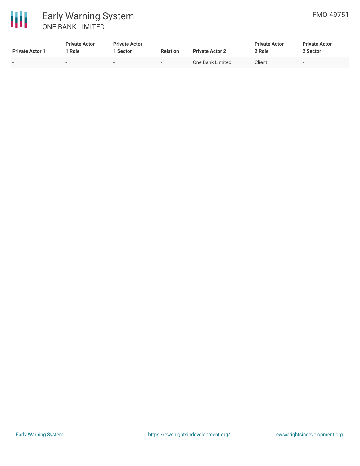

| <b>Private Actor 1</b> | <b>Private Actor</b><br>1 Role | <b>Private Actor</b><br>l Sector | <b>Relation</b>          | <b>Private Actor 2</b> | <b>Private Actor</b><br>2 Role | <b>Private Actor</b><br>2 Sector |
|------------------------|--------------------------------|----------------------------------|--------------------------|------------------------|--------------------------------|----------------------------------|
| $\sim$                 | $\sim$                         | $\sim$                           | $\overline{\phantom{a}}$ | One Bank Limited       | Client                         | -                                |